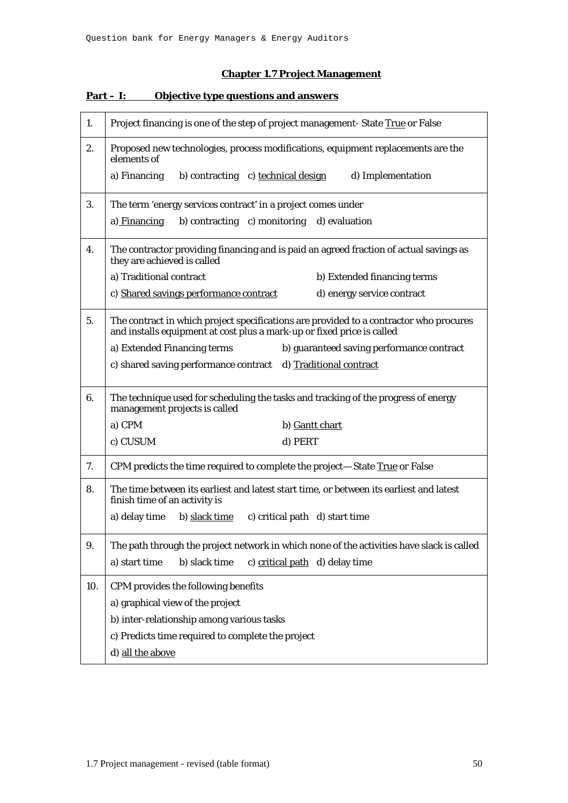## **Chapter 1.7 Project Management**

| 1.  | Project financing is one of the step of project management- State True or False                                                                                  |  |  |  |  |  |  |  |  |
|-----|------------------------------------------------------------------------------------------------------------------------------------------------------------------|--|--|--|--|--|--|--|--|
| 2.  | Proposed new technologies, process modifications, equipment replacements are the<br>elements of                                                                  |  |  |  |  |  |  |  |  |
|     | a) Financing<br>b) contracting c) technical design<br>d) Implementation                                                                                          |  |  |  |  |  |  |  |  |
| 3.  | The term 'energy services contract' in a project comes under                                                                                                     |  |  |  |  |  |  |  |  |
|     | b) contracting c) monitoring d) evaluation<br>a) Financing                                                                                                       |  |  |  |  |  |  |  |  |
| 4.  | The contractor providing financing and is paid an agreed fraction of actual savings as<br>they are achieved is called                                            |  |  |  |  |  |  |  |  |
|     | a) Traditional contract<br>b) Extended financing terms                                                                                                           |  |  |  |  |  |  |  |  |
|     | c) Shared savings performance contract<br>d) energy service contract                                                                                             |  |  |  |  |  |  |  |  |
| 5.  | The contract in which project specifications are provided to a contractor who procures<br>and installs equipment at cost plus a mark-up or fixed price is called |  |  |  |  |  |  |  |  |
|     | a) Extended Financing terms<br>b) guaranteed saving performance contract                                                                                         |  |  |  |  |  |  |  |  |
|     | c) shared saving performance contract d) Traditional contract                                                                                                    |  |  |  |  |  |  |  |  |
| 6.  | The technique used for scheduling the tasks and tracking of the progress of energy<br>management projects is called                                              |  |  |  |  |  |  |  |  |
|     | a) CPM<br>b) Gantt chart                                                                                                                                         |  |  |  |  |  |  |  |  |
|     | c) CUSUM<br>d) PERT                                                                                                                                              |  |  |  |  |  |  |  |  |
| 7.  | CPM predicts the time required to complete the project-State True or False                                                                                       |  |  |  |  |  |  |  |  |
| 8.  | The time between its earliest and latest start time, or between its earliest and latest<br>finish time of an activity is                                         |  |  |  |  |  |  |  |  |
|     | a) delay time b) slack time c) critical path d) start time                                                                                                       |  |  |  |  |  |  |  |  |
| 9.  | The path through the project network in which none of the activities have slack is called                                                                        |  |  |  |  |  |  |  |  |
|     | b) slack time<br>c) critical path d) delay time<br>a) start time                                                                                                 |  |  |  |  |  |  |  |  |
| 10. | CPM provides the following benefits                                                                                                                              |  |  |  |  |  |  |  |  |
|     | a) graphical view of the project                                                                                                                                 |  |  |  |  |  |  |  |  |
|     | b) inter-relationship among various tasks                                                                                                                        |  |  |  |  |  |  |  |  |
|     | c) Predicts time required to complete the project                                                                                                                |  |  |  |  |  |  |  |  |
|     | d) all the above                                                                                                                                                 |  |  |  |  |  |  |  |  |

## **Part – I: Objective type questions and answers**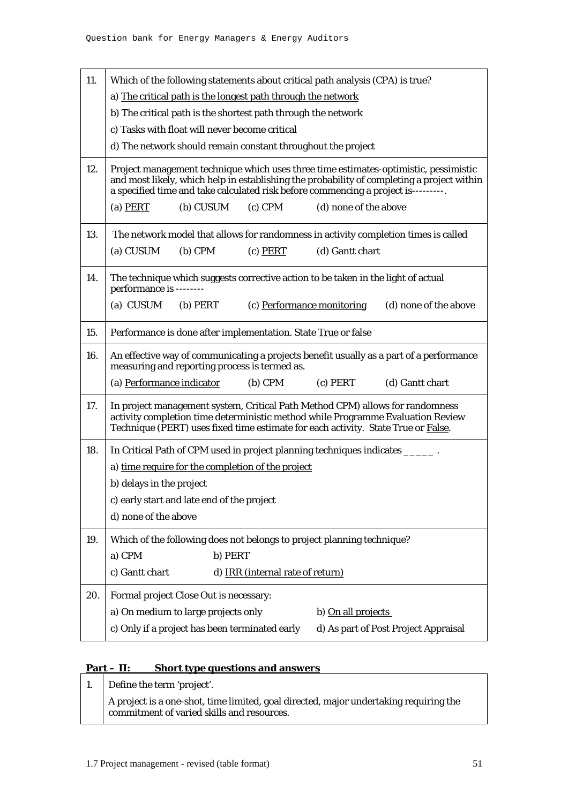| 11. | Which of the following statements about critical path analysis (CPA) is true?                                                                                                                                                                                            |  |  |  |  |  |  |  |
|-----|--------------------------------------------------------------------------------------------------------------------------------------------------------------------------------------------------------------------------------------------------------------------------|--|--|--|--|--|--|--|
|     | a) The critical path is the longest path through the network                                                                                                                                                                                                             |  |  |  |  |  |  |  |
|     | b) The critical path is the shortest path through the network                                                                                                                                                                                                            |  |  |  |  |  |  |  |
|     | c) Tasks with float will never become critical                                                                                                                                                                                                                           |  |  |  |  |  |  |  |
|     | d) The network should remain constant throughout the project                                                                                                                                                                                                             |  |  |  |  |  |  |  |
| 12. | Project management technique which uses three time estimates-optimistic, pessimistic<br>and most likely, which help in establishing the probability of completing a project within<br>a specified time and take calculated risk before commencing a project is---------. |  |  |  |  |  |  |  |
|     | (b) CUSUM<br>$(c)$ CPM<br>(d) none of the above<br>$(a)$ PERT                                                                                                                                                                                                            |  |  |  |  |  |  |  |
| 13. | The network model that allows for randomness in activity completion times is called                                                                                                                                                                                      |  |  |  |  |  |  |  |
|     | (a) CUSUM<br>$(b)$ CPM<br>$(c)$ PERT<br>(d) Gantt chart                                                                                                                                                                                                                  |  |  |  |  |  |  |  |
| 14. | The technique which suggests corrective action to be taken in the light of actual<br>performance is --------                                                                                                                                                             |  |  |  |  |  |  |  |
|     | (a) CUSUM<br>$(b)$ PERT<br>(c) Performance monitoring<br>(d) none of the above                                                                                                                                                                                           |  |  |  |  |  |  |  |
| 15. | Performance is done after implementation. State True or false                                                                                                                                                                                                            |  |  |  |  |  |  |  |
| 16. | An effective way of communicating a projects benefit usually as a part of a performance<br>measuring and reporting process is termed as.                                                                                                                                 |  |  |  |  |  |  |  |
|     | (a) Performance indicator<br>$(b)$ CPM<br>$(c)$ PERT<br>(d) Gantt chart                                                                                                                                                                                                  |  |  |  |  |  |  |  |
| 17. | In project management system, Critical Path Method CPM) allows for randomness<br>activity completion time deterministic method while Programme Evaluation Review<br>Technique (PERT) uses fixed time estimate for each activity. State True or False.                    |  |  |  |  |  |  |  |
| 18. | In Critical Path of CPM used in project planning techniques indicates _______.                                                                                                                                                                                           |  |  |  |  |  |  |  |
|     | a) time require for the completion of the project                                                                                                                                                                                                                        |  |  |  |  |  |  |  |
|     | b) delays in the project                                                                                                                                                                                                                                                 |  |  |  |  |  |  |  |
|     | c) early start and late end of the project                                                                                                                                                                                                                               |  |  |  |  |  |  |  |
|     | d) none of the above                                                                                                                                                                                                                                                     |  |  |  |  |  |  |  |
| 19. | Which of the following does not belongs to project planning technique?                                                                                                                                                                                                   |  |  |  |  |  |  |  |
|     | a) CPM<br>b) PERT                                                                                                                                                                                                                                                        |  |  |  |  |  |  |  |
|     | c) Gantt chart<br>d) IRR (internal rate of return)                                                                                                                                                                                                                       |  |  |  |  |  |  |  |
| 20. | Formal project Close Out is necessary:                                                                                                                                                                                                                                   |  |  |  |  |  |  |  |
|     | a) On medium to large projects only<br>b) On all projects                                                                                                                                                                                                                |  |  |  |  |  |  |  |
|     | c) Only if a project has been terminated early<br>d) As part of Post Project Appraisal                                                                                                                                                                                   |  |  |  |  |  |  |  |

## **Part – II: Short type questions and answers**

| Define the term 'project'.                                                                                                          |
|-------------------------------------------------------------------------------------------------------------------------------------|
| A project is a one-shot, time limited, goal directed, major undertaking requiring the<br>commitment of varied skills and resources. |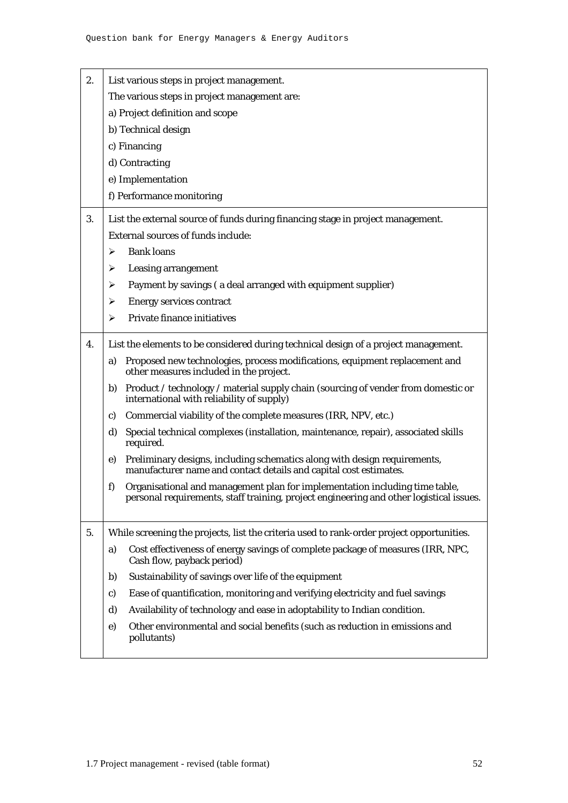| 2. | List various steps in project management.                                                                                                                                    |  |  |  |  |  |  |  |  |
|----|------------------------------------------------------------------------------------------------------------------------------------------------------------------------------|--|--|--|--|--|--|--|--|
|    | The various steps in project management are:                                                                                                                                 |  |  |  |  |  |  |  |  |
|    | a) Project definition and scope                                                                                                                                              |  |  |  |  |  |  |  |  |
|    | b) Technical design                                                                                                                                                          |  |  |  |  |  |  |  |  |
|    | c) Financing                                                                                                                                                                 |  |  |  |  |  |  |  |  |
|    | d) Contracting                                                                                                                                                               |  |  |  |  |  |  |  |  |
|    | e) Implementation                                                                                                                                                            |  |  |  |  |  |  |  |  |
|    | f) Performance monitoring                                                                                                                                                    |  |  |  |  |  |  |  |  |
| 3. | List the external source of funds during financing stage in project management.                                                                                              |  |  |  |  |  |  |  |  |
|    | External sources of funds include:                                                                                                                                           |  |  |  |  |  |  |  |  |
|    | <b>Bank loans</b><br>➤                                                                                                                                                       |  |  |  |  |  |  |  |  |
|    | <b>Leasing arrangement</b><br>➤                                                                                                                                              |  |  |  |  |  |  |  |  |
|    | Payment by savings (a deal arranged with equipment supplier)<br>➤                                                                                                            |  |  |  |  |  |  |  |  |
|    | <b>Energy services contract</b><br>➤                                                                                                                                         |  |  |  |  |  |  |  |  |
|    | <b>Private finance initiatives</b><br>➤                                                                                                                                      |  |  |  |  |  |  |  |  |
| 4. | List the elements to be considered during technical design of a project management.                                                                                          |  |  |  |  |  |  |  |  |
|    | Proposed new technologies, process modifications, equipment replacement and<br>a)<br>other measures included in the project.                                                 |  |  |  |  |  |  |  |  |
|    | Product / technology / material supply chain (sourcing of vender from domestic or<br>b)<br>international with reliability of supply)                                         |  |  |  |  |  |  |  |  |
|    | Commercial viability of the complete measures (IRR, NPV, etc.)<br>$\mathbf{c}$                                                                                               |  |  |  |  |  |  |  |  |
|    | d)<br>Special technical complexes (installation, maintenance, repair), associated skills<br>required.                                                                        |  |  |  |  |  |  |  |  |
|    | Preliminary designs, including schematics along with design requirements,<br>e)<br>manufacturer name and contact details and capital cost estimates.                         |  |  |  |  |  |  |  |  |
|    | f)<br>Organisational and management plan for implementation including time table,<br>personal requirements, staff training, project engineering and other logistical issues. |  |  |  |  |  |  |  |  |
| 5. | While screening the projects, list the criteria used to rank-order project opportunities.                                                                                    |  |  |  |  |  |  |  |  |
|    | Cost effectiveness of energy savings of complete package of measures (IRR, NPC,<br>a)<br>Cash flow, payback period)                                                          |  |  |  |  |  |  |  |  |
|    | Sustainability of savings over life of the equipment<br>b)                                                                                                                   |  |  |  |  |  |  |  |  |
|    | Ease of quantification, monitoring and verifying electricity and fuel savings<br>$\mathbf{c}$                                                                                |  |  |  |  |  |  |  |  |
|    | Availability of technology and ease in adoptability to Indian condition.<br>d)                                                                                               |  |  |  |  |  |  |  |  |
|    | Other environmental and social benefits (such as reduction in emissions and<br>e)<br>pollutants)                                                                             |  |  |  |  |  |  |  |  |
|    |                                                                                                                                                                              |  |  |  |  |  |  |  |  |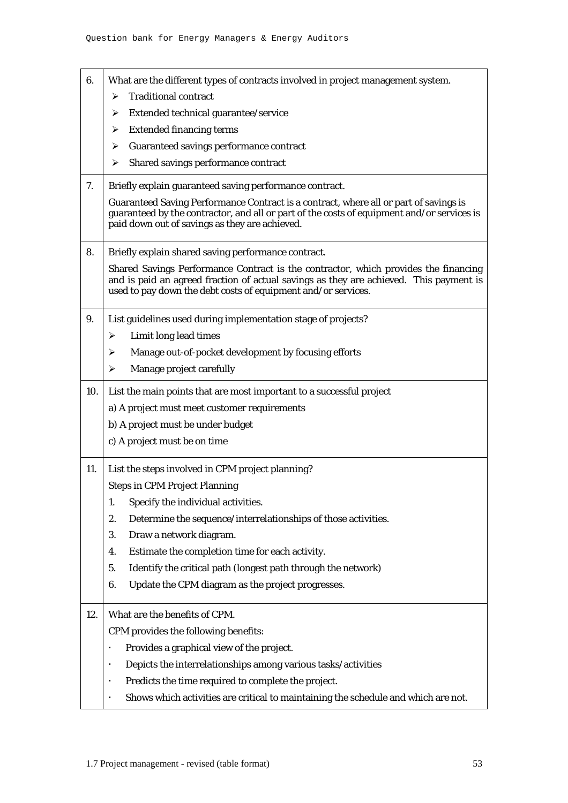| 6.  | What are the different types of contracts involved in project management system.                                                                                                                                                               |  |  |  |  |  |  |  |
|-----|------------------------------------------------------------------------------------------------------------------------------------------------------------------------------------------------------------------------------------------------|--|--|--|--|--|--|--|
|     | <b>Traditional contract</b><br>⋗                                                                                                                                                                                                               |  |  |  |  |  |  |  |
|     | Extended technical guarantee/service<br>➤                                                                                                                                                                                                      |  |  |  |  |  |  |  |
|     | <b>Extended financing terms</b><br>➤                                                                                                                                                                                                           |  |  |  |  |  |  |  |
|     | Guaranteed savings performance contract<br>➤                                                                                                                                                                                                   |  |  |  |  |  |  |  |
|     | Shared savings performance contract<br>➤                                                                                                                                                                                                       |  |  |  |  |  |  |  |
| 7.  | Briefly explain guaranteed saving performance contract.                                                                                                                                                                                        |  |  |  |  |  |  |  |
|     | Guaranteed Saving Performance Contract is a contract, where all or part of savings is<br>guaranteed by the contractor, and all or part of the costs of equipment and/or services is<br>paid down out of savings as they are achieved.          |  |  |  |  |  |  |  |
| 8.  | Briefly explain shared saving performance contract.                                                                                                                                                                                            |  |  |  |  |  |  |  |
|     | Shared Savings Performance Contract is the contractor, which provides the financing<br>and is paid an agreed fraction of actual savings as they are achieved. This payment is<br>used to pay down the debt costs of equipment and/or services. |  |  |  |  |  |  |  |
| 9.  | List guidelines used during implementation stage of projects?                                                                                                                                                                                  |  |  |  |  |  |  |  |
|     | Limit long lead times<br>➤                                                                                                                                                                                                                     |  |  |  |  |  |  |  |
|     | Manage out-of-pocket development by focusing efforts<br>➤                                                                                                                                                                                      |  |  |  |  |  |  |  |
|     | Manage project carefully<br>➤                                                                                                                                                                                                                  |  |  |  |  |  |  |  |
|     | 10. List the main points that are most important to a successful project                                                                                                                                                                       |  |  |  |  |  |  |  |
|     | a) A project must meet customer requirements                                                                                                                                                                                                   |  |  |  |  |  |  |  |
|     | b) A project must be under budget                                                                                                                                                                                                              |  |  |  |  |  |  |  |
|     | c) A project must be on time                                                                                                                                                                                                                   |  |  |  |  |  |  |  |
| 11. | List the steps involved in CPM project planning?                                                                                                                                                                                               |  |  |  |  |  |  |  |
|     | <b>Steps in CPM Project Planning</b>                                                                                                                                                                                                           |  |  |  |  |  |  |  |
|     | Specify the individual activities.<br>1.                                                                                                                                                                                                       |  |  |  |  |  |  |  |
|     | 2.<br>Determine the sequence/interrelationships of those activities.                                                                                                                                                                           |  |  |  |  |  |  |  |
|     | 3.<br>Draw a network diagram.                                                                                                                                                                                                                  |  |  |  |  |  |  |  |
|     | Estimate the completion time for each activity.<br>4.                                                                                                                                                                                          |  |  |  |  |  |  |  |
|     | Identify the critical path (longest path through the network)<br>5.                                                                                                                                                                            |  |  |  |  |  |  |  |
|     | 6.<br>Update the CPM diagram as the project progresses.                                                                                                                                                                                        |  |  |  |  |  |  |  |
| 12. | What are the benefits of CPM.                                                                                                                                                                                                                  |  |  |  |  |  |  |  |
|     | CPM provides the following benefits:                                                                                                                                                                                                           |  |  |  |  |  |  |  |
|     | Provides a graphical view of the project.                                                                                                                                                                                                      |  |  |  |  |  |  |  |
|     | Depicts the interrelationships among various tasks/activities                                                                                                                                                                                  |  |  |  |  |  |  |  |
|     | Predicts the time required to complete the project.                                                                                                                                                                                            |  |  |  |  |  |  |  |
|     | Shows which activities are critical to maintaining the schedule and which are not.                                                                                                                                                             |  |  |  |  |  |  |  |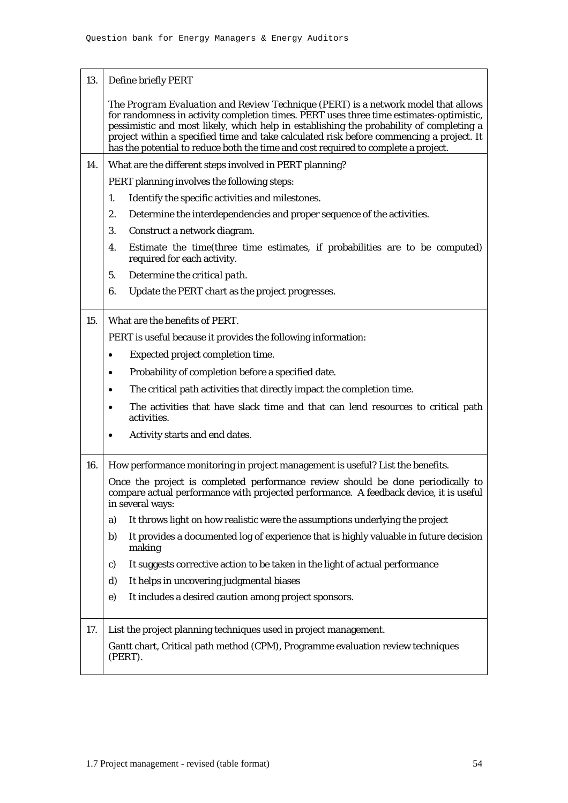| 13. | Define briefly PERT                                                                                                                                                                                                                                                                                                                                                                                                                                       |  |  |  |  |  |  |  |
|-----|-----------------------------------------------------------------------------------------------------------------------------------------------------------------------------------------------------------------------------------------------------------------------------------------------------------------------------------------------------------------------------------------------------------------------------------------------------------|--|--|--|--|--|--|--|
|     | The Program Evaluation and Review Technique (PERT) is a network model that allows<br>for randomness in activity completion times. PERT uses three time estimates-optimistic,<br>pessimistic and most likely, which help in establishing the probability of completing a<br>project within a specified time and take calculated risk before commencing a project. It<br>has the potential to reduce both the time and cost required to complete a project. |  |  |  |  |  |  |  |
| 14. | What are the different steps involved in PERT planning?                                                                                                                                                                                                                                                                                                                                                                                                   |  |  |  |  |  |  |  |
|     | PERT planning involves the following steps:                                                                                                                                                                                                                                                                                                                                                                                                               |  |  |  |  |  |  |  |
|     | Identify the specific activities and milestones.<br>1.                                                                                                                                                                                                                                                                                                                                                                                                    |  |  |  |  |  |  |  |
|     | 2.<br>Determine the interdependencies and proper sequence of the activities.                                                                                                                                                                                                                                                                                                                                                                              |  |  |  |  |  |  |  |
|     | 3.<br>Construct a network diagram.                                                                                                                                                                                                                                                                                                                                                                                                                        |  |  |  |  |  |  |  |
|     | 4.<br>Estimate the time (three time estimates, if probabilities are to be computed)<br>required for each activity.                                                                                                                                                                                                                                                                                                                                        |  |  |  |  |  |  |  |
|     | Determine the critical path.<br>5.                                                                                                                                                                                                                                                                                                                                                                                                                        |  |  |  |  |  |  |  |
|     | 6.<br>Update the PERT chart as the project progresses.                                                                                                                                                                                                                                                                                                                                                                                                    |  |  |  |  |  |  |  |
| 15. | What are the benefits of PERT.                                                                                                                                                                                                                                                                                                                                                                                                                            |  |  |  |  |  |  |  |
|     | PERT is useful because it provides the following information:                                                                                                                                                                                                                                                                                                                                                                                             |  |  |  |  |  |  |  |
|     | Expected project completion time.                                                                                                                                                                                                                                                                                                                                                                                                                         |  |  |  |  |  |  |  |
|     | Probability of completion before a specified date.<br>$\bullet$                                                                                                                                                                                                                                                                                                                                                                                           |  |  |  |  |  |  |  |
|     | The critical path activities that directly impact the completion time.<br>$\bullet$                                                                                                                                                                                                                                                                                                                                                                       |  |  |  |  |  |  |  |
|     | The activities that have slack time and that can lend resources to critical path<br>activities.                                                                                                                                                                                                                                                                                                                                                           |  |  |  |  |  |  |  |
|     | Activity starts and end dates.                                                                                                                                                                                                                                                                                                                                                                                                                            |  |  |  |  |  |  |  |
| 16. | How performance monitoring in project management is useful? List the benefits.                                                                                                                                                                                                                                                                                                                                                                            |  |  |  |  |  |  |  |
|     | Once the project is completed performance review should be done periodically to<br>compare actual performance with projected performance. A feedback device, it is useful<br>in several ways:                                                                                                                                                                                                                                                             |  |  |  |  |  |  |  |
|     | It throws light on how realistic were the assumptions underlying the project<br>a)                                                                                                                                                                                                                                                                                                                                                                        |  |  |  |  |  |  |  |
|     | It provides a documented log of experience that is highly valuable in future decision<br>b)<br>making                                                                                                                                                                                                                                                                                                                                                     |  |  |  |  |  |  |  |
|     | It suggests corrective action to be taken in the light of actual performance<br>c)                                                                                                                                                                                                                                                                                                                                                                        |  |  |  |  |  |  |  |
|     | It helps in uncovering judgmental biases<br>d)                                                                                                                                                                                                                                                                                                                                                                                                            |  |  |  |  |  |  |  |
|     | It includes a desired caution among project sponsors.<br>$\mathbf{e})$                                                                                                                                                                                                                                                                                                                                                                                    |  |  |  |  |  |  |  |
| 17. | List the project planning techniques used in project management.                                                                                                                                                                                                                                                                                                                                                                                          |  |  |  |  |  |  |  |
|     | Gantt chart, Critical path method (CPM), Programme evaluation review techniques<br>(PERT).                                                                                                                                                                                                                                                                                                                                                                |  |  |  |  |  |  |  |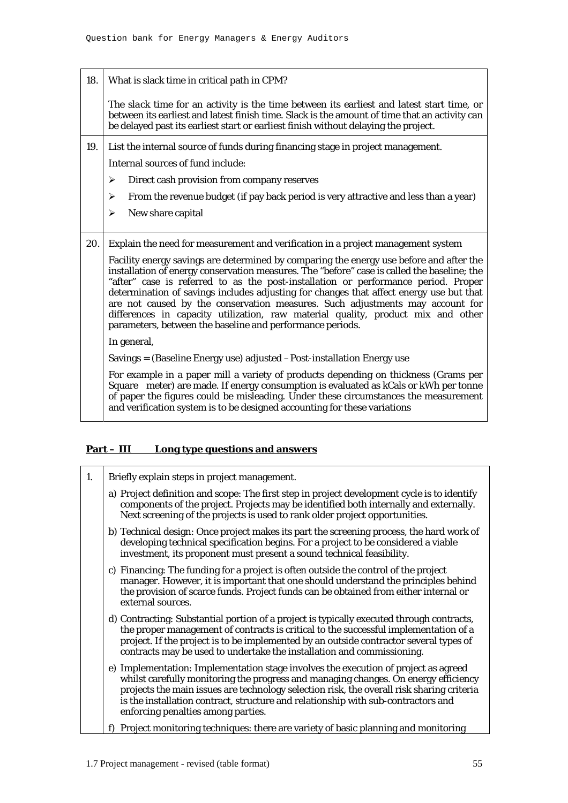18. What is slack time in critical path in CPM? The *slack time* for an activity is the time between its earliest and latest start time, or between its earliest and latest finish time. Slack is the amount of time that an activity can be delayed past its earliest start or earliest finish without delaying the project. 19. List the internal source of funds during financing stage in project management. Internal sources of fund include:  $\triangleright$  Direct cash provision from company reserves  $\triangleright$  From the revenue budget (if pay back period is very attractive and less than a year)  $\triangleright$  New share capital 20. Explain the need for measurement and verification in a project management system Facility energy savings are determined by comparing the energy use before and after the installation of energy conservation measures. The "before" case is called the baseline; the "after" case is referred to as the post-installation or performance period. Proper determination of savings includes adjusting for changes that affect energy use but that are not caused by the conservation measures. Such adjustments may account for differences in capacity utilization, raw material quality, product mix and other parameters, between the baseline and performance periods. In general, Savings = (Baseline Energy use) adjusted –Post-installation Energy use For example in a paper mill a variety of products depending on thickness (Grams per Square meter) are made. If energy consumption is evaluated as kCals or kWh per tonne of paper the figures could be misleading. Under these circumstances the measurement and verification system is to be designed accounting for these variations

## **Part – III Long type questions and answers**

| 1. | Briefly explain steps in project management.                                                                                                                                                                                                                                                                                                                                                       |
|----|----------------------------------------------------------------------------------------------------------------------------------------------------------------------------------------------------------------------------------------------------------------------------------------------------------------------------------------------------------------------------------------------------|
|    | a) Project definition and scope: The first step in project development cycle is to identify<br>components of the project. Projects may be identified both internally and externally.<br>Next screening of the projects is used to rank older project opportunities.                                                                                                                                |
|    | b) Technical design: Once project makes its part the screening process, the hard work of<br>developing technical specification begins. For a project to be considered a viable<br>investment, its proponent must present a sound technical feasibility.                                                                                                                                            |
|    | c) Financing: The funding for a project is often outside the control of the project<br>manager. However, it is important that one should understand the principles behind<br>the provision of scarce funds. Project funds can be obtained from either internal or<br>external sources.                                                                                                             |
|    | d) Contracting: Substantial portion of a project is typically executed through contracts,<br>the proper management of contracts is critical to the successful implementation of a<br>project. If the project is to be implemented by an outside contractor several types of<br>contracts may be used to undertake the installation and commissioning.                                              |
|    | e) Implementation: Implementation stage involves the execution of project as agreed<br>whilst carefully monitoring the progress and managing changes. On energy efficiency<br>projects the main issues are technology selection risk, the overall risk sharing criteria<br>is the installation contract, structure and relationship with sub-contractors and<br>enforcing penalties among parties. |
|    | Project monitoring techniques: there are variety of basic planning and monitoring                                                                                                                                                                                                                                                                                                                  |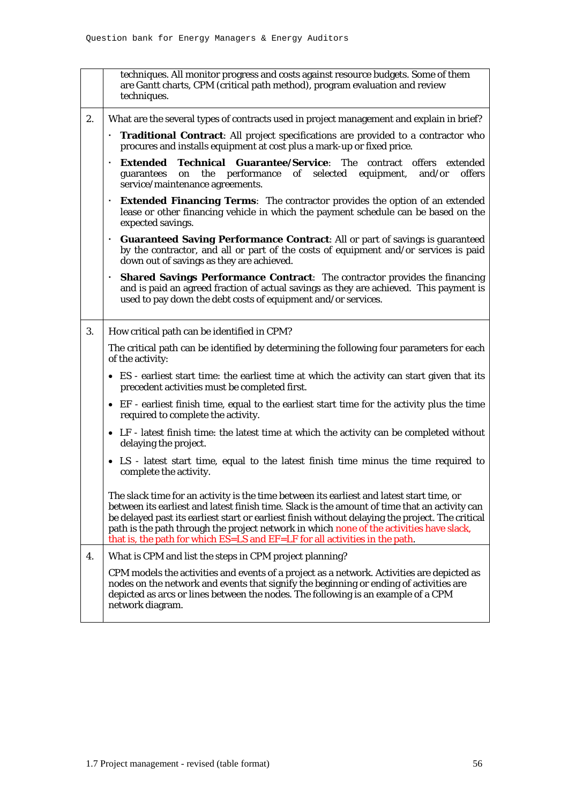|    | techniques. All monitor progress and costs against resource budgets. Some of them<br>are Gantt charts, CPM (critical path method), program evaluation and review<br>techniques.                                                                                                                                                                                                                                                                                           |  |  |  |  |  |  |  |
|----|---------------------------------------------------------------------------------------------------------------------------------------------------------------------------------------------------------------------------------------------------------------------------------------------------------------------------------------------------------------------------------------------------------------------------------------------------------------------------|--|--|--|--|--|--|--|
| 2. | What are the several types of contracts used in project management and explain in brief?                                                                                                                                                                                                                                                                                                                                                                                  |  |  |  |  |  |  |  |
|    | Traditional Contract: All project specifications are provided to a contractor who<br>procures and installs equipment at cost plus a mark-up or fixed price.                                                                                                                                                                                                                                                                                                               |  |  |  |  |  |  |  |
|    | <b>Extended Technical Guarantee/Service:</b> The contract offers extended<br>on the performance of selected equipment,<br>offers<br>and/or<br>guarantees<br>service/maintenance agreements.                                                                                                                                                                                                                                                                               |  |  |  |  |  |  |  |
|    | <b>Extended Financing Terms:</b> The contractor provides the option of an extended<br>lease or other financing vehicle in which the payment schedule can be based on the<br>expected savings.                                                                                                                                                                                                                                                                             |  |  |  |  |  |  |  |
|    | <b>Guaranteed Saving Performance Contract: All or part of savings is guaranteed</b><br>by the contractor, and all or part of the costs of equipment and/or services is paid<br>down out of savings as they are achieved.                                                                                                                                                                                                                                                  |  |  |  |  |  |  |  |
|    | <b>Shared Savings Performance Contract:</b> The contractor provides the financing<br>٠<br>and is paid an agreed fraction of actual savings as they are achieved. This payment is<br>used to pay down the debt costs of equipment and/or services.                                                                                                                                                                                                                         |  |  |  |  |  |  |  |
| 3. | How critical path can be identified in CPM?                                                                                                                                                                                                                                                                                                                                                                                                                               |  |  |  |  |  |  |  |
|    | The critical path can be identified by determining the following four parameters for each<br>of the activity:                                                                                                                                                                                                                                                                                                                                                             |  |  |  |  |  |  |  |
|    | • ES - earliest start time: the earliest time at which the activity can start given that its<br>precedent activities must be completed first.                                                                                                                                                                                                                                                                                                                             |  |  |  |  |  |  |  |
|    | • EF - earliest finish time, equal to the earliest start time for the activity plus the time<br>required to complete the activity.                                                                                                                                                                                                                                                                                                                                        |  |  |  |  |  |  |  |
|    | • LF - latest finish time: the latest time at which the activity can be completed without<br>delaying the project.                                                                                                                                                                                                                                                                                                                                                        |  |  |  |  |  |  |  |
|    | • LS - latest start time, equal to the latest finish time minus the time required to<br>complete the activity.                                                                                                                                                                                                                                                                                                                                                            |  |  |  |  |  |  |  |
|    | The slack time for an activity is the time between its earliest and latest start time, or<br>between its earliest and latest finish time. Slack is the amount of time that an activity can<br>be delayed past its earliest start or earliest finish without delaying the project. The critical<br>path is the path through the project network in which none of the activities have slack,<br>that is, the path for which ES=LS and EF=LF for all activities in the path. |  |  |  |  |  |  |  |
| 4. | What is CPM and list the steps in CPM project planning?                                                                                                                                                                                                                                                                                                                                                                                                                   |  |  |  |  |  |  |  |
|    | CPM models the activities and events of a project as a network. Activities are depicted as<br>nodes on the network and events that signify the beginning or ending of activities are<br>depicted as arcs or lines between the nodes. The following is an example of a CPM<br>network diagram.                                                                                                                                                                             |  |  |  |  |  |  |  |